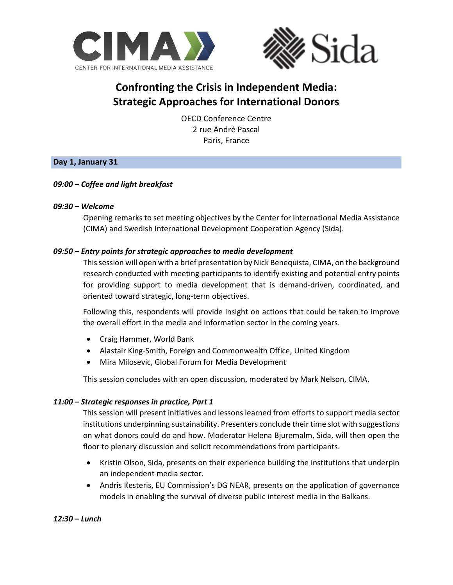



# **Confronting the Crisis in Independent Media: Strategic Approaches for International Donors**

OECD Conference Centre 2 rue André Pascal Paris, France

# **Day 1, January 31**

# *09:00 – Coffee and light breakfast*

#### *09:30 – Welcome*

Opening remarks to set meeting objectives by the Center for International Media Assistance (CIMA) and Swedish International Development Cooperation Agency (Sida).

# *09:50 – Entry points for strategic approaches to media development*

This session will open with a brief presentation by Nick Benequista, CIMA, on the background research conducted with meeting participants to identify existing and potential entry points for providing support to media development that is demand-driven, coordinated, and oriented toward strategic, long-term objectives.

Following this, respondents will provide insight on actions that could be taken to improve the overall effort in the media and information sector in the coming years.

- Craig Hammer, World Bank
- Alastair King-Smith, Foreign and Commonwealth Office, United Kingdom
- Mira Milosevic, Global Forum for Media Development

This session concludes with an open discussion, moderated by Mark Nelson, CIMA.

#### *11:00 – Strategic responses in practice, Part 1*

This session will present initiatives and lessons learned from efforts to support media sector institutions underpinning sustainability. Presenters conclude their time slot with suggestions on what donors could do and how. Moderator Helena Bjuremalm, Sida, will then open the floor to plenary discussion and solicit recommendations from participants.

- Kristin Olson, Sida, presents on their experience building the institutions that underpin an independent media sector.
- Andris Kesteris, EU Commission's DG NEAR, presents on the application of governance models in enabling the survival of diverse public interest media in the Balkans.

#### *12:30 – Lunch*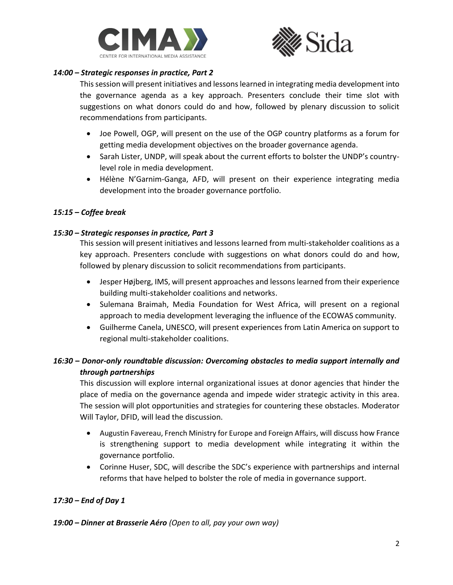



#### *14:00 – Strategic responses in practice, Part 2*

This session will present initiatives and lessons learned in integrating media development into the governance agenda as a key approach. Presenters conclude their time slot with suggestions on what donors could do and how, followed by plenary discussion to solicit recommendations from participants.

- Joe Powell, OGP, will present on the use of the OGP country platforms as a forum for getting media development objectives on the broader governance agenda.
- Sarah Lister, UNDP, will speak about the current efforts to bolster the UNDP's countrylevel role in media development.
- Hélène N'Garnim-Ganga, AFD, will present on their experience integrating media development into the broader governance portfolio.

#### *15:15 – Coffee break*

#### *15:30 – Strategic responses in practice, Part 3*

This session will present initiatives and lessons learned from multi-stakeholder coalitions as a key approach. Presenters conclude with suggestions on what donors could do and how, followed by plenary discussion to solicit recommendations from participants.

- Jesper Højberg, IMS, will present approaches and lessons learned from their experience building multi-stakeholder coalitions and networks.
- Sulemana Braimah, Media Foundation for West Africa, will present on a regional approach to media development leveraging the influence of the ECOWAS community.
- Guilherme Canela, UNESCO, will present experiences from Latin America on support to regional multi-stakeholder coalitions.

# *16:30* **–** *Donor-only roundtable discussion: Overcoming obstacles to media support internally and through partnerships*

This discussion will explore internal organizational issues at donor agencies that hinder the place of media on the governance agenda and impede wider strategic activity in this area. The session will plot opportunities and strategies for countering these obstacles. Moderator Will Taylor, DFID, will lead the discussion.

- Augustin Favereau, French Ministry for Europe and Foreign Affairs, will discuss how France is strengthening support to media development while integrating it within the governance portfolio.
- Corinne Huser, SDC, will describe the SDC's experience with partnerships and internal reforms that have helped to bolster the role of media in governance support.

# *17:30 – End of Day 1*

#### *19:00 – Dinner at Brasserie Aéro (Open to all, pay your own way)*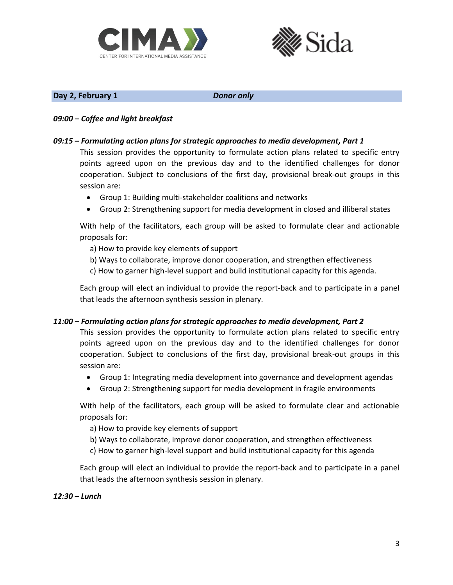



#### **Day 2, February 1** *Donor only*

#### *09:00 – Coffee and light breakfast*

### *09:15 – Formulating action plans for strategic approaches to media development, Part 1*

This session provides the opportunity to formulate action plans related to specific entry points agreed upon on the previous day and to the identified challenges for donor cooperation. Subject to conclusions of the first day, provisional break-out groups in this session are:

- Group 1: Building multi-stakeholder coalitions and networks
- Group 2: Strengthening support for media development in closed and illiberal states

With help of the facilitators, each group will be asked to formulate clear and actionable proposals for:

a) How to provide key elements of support

- b) Ways to collaborate, improve donor cooperation, and strengthen effectiveness
- c) How to garner high-level support and build institutional capacity for this agenda.

Each group will elect an individual to provide the report-back and to participate in a panel that leads the afternoon synthesis session in plenary.

#### *11:00 – Formulating action plans for strategic approaches to media development, Part 2*

This session provides the opportunity to formulate action plans related to specific entry points agreed upon on the previous day and to the identified challenges for donor cooperation. Subject to conclusions of the first day, provisional break-out groups in this session are:

- Group 1: Integrating media development into governance and development agendas
- Group 2: Strengthening support for media development in fragile environments

With help of the facilitators, each group will be asked to formulate clear and actionable proposals for:

- a) How to provide key elements of support
- b) Ways to collaborate, improve donor cooperation, and strengthen effectiveness
- c) How to garner high-level support and build institutional capacity for this agenda

Each group will elect an individual to provide the report-back and to participate in a panel that leads the afternoon synthesis session in plenary.

#### *12:30 – Lunch*